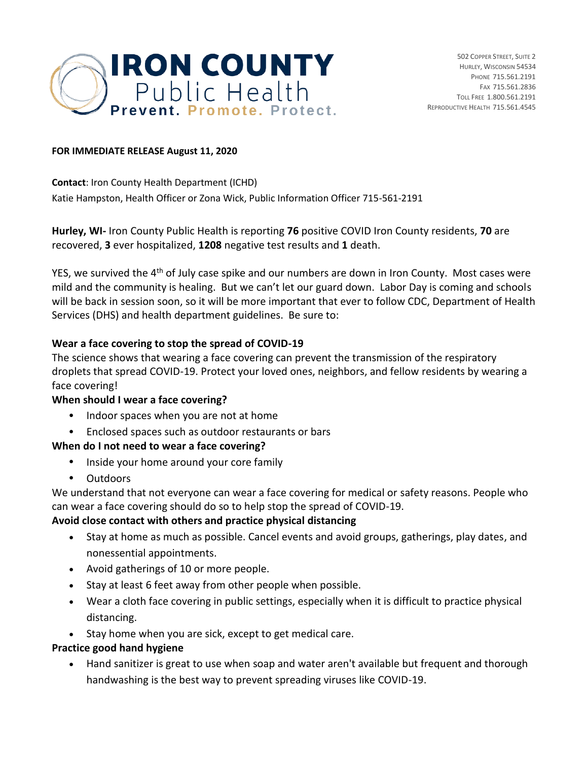

### **FOR IMMEDIATE RELEASE August 11, 2020**

**Contact**: Iron County Health Department (ICHD) Katie Hampston, Health Officer or Zona Wick, Public Information Officer 715-561-2191

**Hurley, WI-** Iron County Public Health is reporting **76** positive COVID Iron County residents, **70** are recovered, **3** ever hospitalized, **1208** negative test results and **1** death.

YES, we survived the 4<sup>th</sup> of July case spike and our numbers are down in Iron County. Most cases were mild and the community is healing. But we can't let our guard down. Labor Day is coming and schools will be back in session soon, so it will be more important that ever to follow CDC, Department of Health Services (DHS) and health department guidelines. Be sure to:

### **Wear a face covering to stop the spread of COVID-19**

The science shows that wearing a face covering can prevent the transmission of the respiratory droplets that spread COVID-19. Protect your loved ones, neighbors, and fellow residents by wearing a face covering!

#### **When should I wear a face covering?**

- Indoor spaces when you are not at home
- Enclosed spaces such as outdoor restaurants or bars

#### **When do I not need to wear a face covering?**

- Inside your home around your core family
- Outdoors

We understand that not everyone can wear a face covering for medical or safety reasons. People who can wear a face covering should do so to help stop the spread of COVID-19.

## **Avoid close contact with others and practice physical distancing**

- Stay at home as much as possible. Cancel events and avoid groups, gatherings, play dates, and nonessential appointments.
- Avoid gatherings of 10 or more people.
- Stay at least 6 feet away from other people when possible.
- Wear a cloth face covering in public settings, especially when it is difficult to practice physical distancing.
- Stay home when you are sick, except to get medical care.

## **Practice good hand hygiene**

• Hand sanitizer is great to use when soap and water aren't available but frequent and thorough handwashing is the best way to prevent spreading viruses like COVID-19.